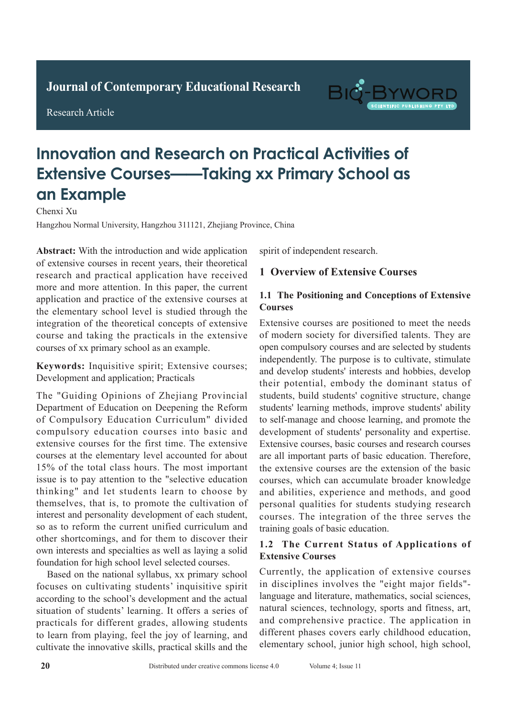**Journal of Clinical and Nursing Research Journal of Contemporary Educational Research**

**Research Article** 

Research Article

# BIG-B

## **Innovation and Research on Practical Activities of Extensive Courses——Taking xx Primary School as Adult with Active Pulmonary Tuberculosis in the Active Pulmonary Tuberculosis in the Active Pulmonary Tuberculosis**  $T_{\text{max}}$

Chenxi Xu

Hangzhou Normal University, Hangzhou 311121, Zhejiang Province, China ree, China

Abstract: With the introduction and wide application of extensive courses in recent years, their theoretical of extensive courses in recent years, their theoretical research and practical application have received research and practical approaches have received.<br>more and more attention. In this paper, the current more and more attention. In this paper, the earlient approached and practice of the extensive courses at the elementary school level is studied through the integration of the theoretical concepts of extensive mografion of the theoretical concepts of extensive course and taking the practicals in the extensive to the two methods in the extensive courses of xx primary school as an example.  $\frac{1}{2}$  courses of an primary sensor as an example.

*Results:* In 60 patients, the pathological results **Keywords:** Inquisitive spirit; Extensive courses;  $\Gamma$ Development and application; Practicals

The "Guiding Opinions of Zhejiang Provincial The Guiding Opinions of Encylang Provincial<br>Department of Education on Deepening the Reform Department of Education on Deepening the Keform<br>of Compulsory Education Curriculum" divided of compulsory Education curriculum divided<br>compulsory education courses into basic and computsory cutturion courses mo basic and extensive courses for the first time. The extensive catensive courses for the first time. The extensive courses at the elementary level accounted for about tourses at the elementary lever accounted for about 15% of the total class hours. The most important 1970 of the total class hours. The most important issue is to pay attention to the "selective education" issue is to pay attention to the selective cutedation<br>thinking" and let students learn to choose by that themselves, that is, to promote the cultivation of themselves, that is, to promote the cultivation of interest and personality development of each student, merest and personally development of each student, so as to reform the current unified curriculum and so as to reform the current unfried currentum and<br>other shortcomings, and for them to discover their outer shortcomings, and for them to discover them<br>own interests and specialties as well as laying a solid foundation for high school level selected courses.  $T_{\text{max}}$  and  $T_{\text{max}}$  is statistical difference was statistical difference was statistical difference of  $P_{\text{max}}$  $\alpha$  and  $\alpha$  for  $\alpha$  and  $\alpha$  is the pulso of  $\alpha$  and  $\alpha$  and  $\alpha$  and  $\alpha$  and  $\alpha$  and  $\alpha$  and  $\alpha$  and  $\alpha$  and  $\alpha$  and  $\alpha$  and  $\alpha$  and  $\alpha$  and  $\alpha$  and  $\alpha$  and  $\alpha$  and  $\alpha$  and  $\alpha$  and  $\alpha$  and  $\alpha$  and  $\$ 

Based on the national syllabus, xx primary school  $\sum_{i=1}^{\infty}$   $\sum_{i=1}^{\infty}$   $\sum_{i=1}^{\infty}$   $\sum_{i=1}^{\infty}$   $\sum_{i=1}^{\infty}$   $\sum_{i=1}^{\infty}$   $\sum_{i=1}^{\infty}$   $\sum_{i=1}^{\infty}$   $\sum_{i=1}^{\infty}$ focuses on cultivating students' inquisitive spirit  $\mathbf{F}$ situation of students' learning. It offers a series of practicals for different grades, allowing students to learn from playing, feel the joy of learning, and cultivate the innovative skills, practical skills and the according to the school's development and the actual spirit of independent research. caused by publishing the pullmonary infection with the contract of  $\mathcal{L}$ 

#### $\mathbf{P}$ **1 Overview of Extensive Courses**

#### sputum, low fever, and fatigue, which can easily be 1.1 The Positioning and Conceptions of Extensive  $t_{\text{out}}$  ses  $\sum_{n=1}^{\infty}$  can easily be a spatial can easily be a spatial can easily be a spatial can easily be a spatial can easily be a spatial control of  $\sum_{n=1}^{\infty}$  can easily be a spatial control of  $\sum_{n=1}^{\infty}$  can easily

Extensive courses are positioned to meet the needs put modern society for diversified talents. They are of modern society for diversified talents. open compulsory courses and are selected by students independently. The purpose is to cultivate, stimulate and develop students' interests and hobbies, develop ind a develop statents interests and hoodes, develop their potential, embody the dominant status of students, build students' cognitive structure, change stations, but stations cognitive structure, enarge students' learning methods, improve students' ability stated as long memodes, improve stated as ability to self-manage and choose learning, and promote the development of students' personality and expertise. Extensive courses, basic courses and research courses are all important parts of basic education. Therefore, the extensive courses are the extension of the basic courses, which can accumulate broader knowledge and abilities, experience and methods, and good personal qualities for students studying research courses. The integration of the three serves the training goals of basic education. independently. The purpose is to cultivate, stimulate<br>and develop students' interests and hobbies, develop<br>their potential, embody the dominant status of<br>students, build students' cognitive structure, change<br>students' lear  $\alpha$  in a second expression and  $\alpha$  and  $\alpha$  and  $\alpha$  and  $\alpha$  and  $\alpha$  and  $\alpha$  and  $\alpha$  and  $\alpha$  and  $\alpha$  and  $\alpha$  and  $\alpha$  and  $\alpha$  and  $\alpha$  and  $\alpha$  and  $\alpha$  and  $\alpha$  and  $\alpha$  and  $\alpha$  and  $\alpha$  and  $\alpha$  and  $\alpha$  and or the immunity decreases. The community decreases of to sen-manage and enouse iearning, and promote the  $\mu$ suciisive courses, basic courses and research courses are an important parts of basic equeation. Therefore,  $\mu$  is detection rate of the contribution of the basic

#### **1.2 The Current Status of Applications of Extensive Courses**

Currently, the application of extensive courses in disciplines involves the "eight major fields"language and literature, mathematics, social sciences, natural sciences, technology, sports and fitness, art, and comprehensive practice. The application in different phases covers early childhood education, elementary school, junior high school, high school, conventional chest X-ray scan and spiral CT chest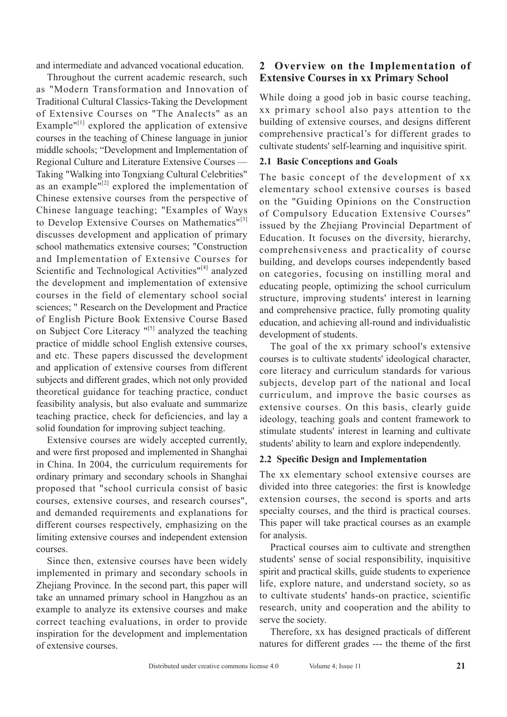and intermediate and advanced vocational education.

Throughout the current academic research, such as "Modern Transformation and Innovation of Traditional Cultural Classics-Taking the Development of Extensive Courses on "The Analects" as an Example $"^{[1]}$  explored the application of extensive courses in the teaching of Chinese language in junior middle schools; "Development and Implementation of Regional Culture and Literature Extensive Courses — Taking "Walking into Tongxiang Cultural Celebrities" as an example $\mathbf{u}^{[2]}$  explored the implementation of Chinese extensive courses from the perspective of Chinese language teaching; "Examples of Ways to Develop Extensive Courses on Mathematics"<sup>[3]</sup> discusses development and application of primary school mathematics extensive courses; "Construction and Implementation of Extensive Courses for Scientific and Technological Activities"<sup>[4]</sup> analyzed the development and implementation of extensive courses in the field of elementary school social sciences; " Research on the Development and Practice of English Picture Book Extensive Course Based on Subject Core Literacy "[5] analyzed the teaching practice of middle school English extensive courses, and etc. These papers discussed the development and application of extensive courses from different subjects and different grades, which not only provided theoretical guidance for teaching practice, conduct feasibility analysis, but also evaluate and summarize teaching practice, check for deficiencies, and lay a solid foundation for improving subject teaching.

Extensive courses are widely accepted currently, and were first proposed and implemented in Shanghai in China. In 2004, the curriculum requirements for ordinary primary and secondary schools in Shanghai proposed that "school curricula consist of basic courses, extensive courses, and research courses", and demanded requirements and explanations for different courses respectively, emphasizing on the limiting extensive courses and independent extension courses.

Since then, extensive courses have been widely implemented in primary and secondary schools in Zhejiang Province. In the second part, this paper will take an unnamed primary school in Hangzhou as an example to analyze its extensive courses and make correct teaching evaluations, in order to provide inspiration for the development and implementation of extensive courses.

### **2 Overview on the Implementation of Extensive Courses in xx Primary School**

While doing a good job in basic course teaching, xx primary school also pays attention to the building of extensive courses, and designs different comprehensive practical's for different grades to cultivate students' self-learning and inquisitive spirit.

#### **2.1 Basic Conceptions and Goals**

The basic concept of the development of xx elementary school extensive courses is based on the "Guiding Opinions on the Construction of Compulsory Education Extensive Courses" issued by the Zhejiang Provincial Department of Education. It focuses on the diversity, hierarchy, comprehensiveness and practicality of course building, and develops courses independently based on categories, focusing on instilling moral and educating people, optimizing the school curriculum structure, improving students' interest in learning and comprehensive practice, fully promoting quality education, and achieving all-round and individualistic development of students.

The goal of the xx primary school's extensive courses is to cultivate students' ideological character, core literacy and curriculum standards for various subjects, develop part of the national and local curriculum, and improve the basic courses as extensive courses. On this basis, clearly guide ideology, teaching goals and content framework to stimulate students' interest in learning and cultivate students' ability to learn and explore independently.

#### **2.2 Specific Design and Implementation**

The xx elementary school extensive courses are divided into three categories: the first is knowledge extension courses, the second is sports and arts specialty courses, and the third is practical courses. This paper will take practical courses as an example for analysis.

Practical courses aim to cultivate and strengthen students' sense of social responsibility, inquisitive spirit and practical skills, guide students to experience life, explore nature, and understand society, so as to cultivate students' hands-on practice, scientific research, unity and cooperation and the ability to serve the society.

Therefore, xx has designed practicals of different natures for different grades --- the theme of the first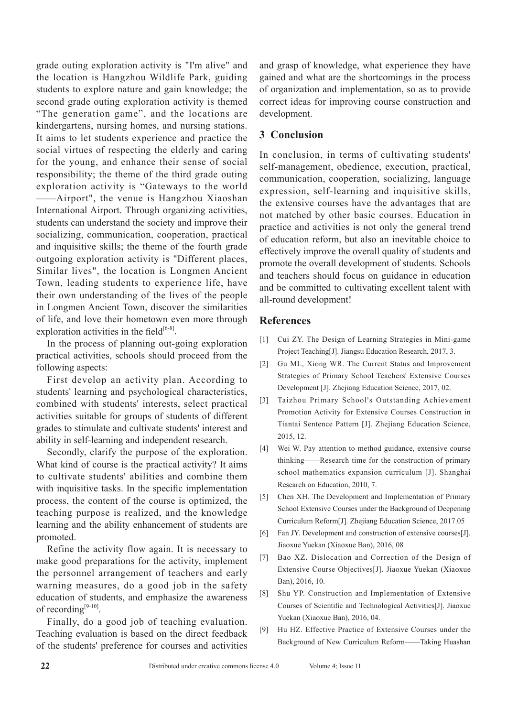grade outing exploration activity is "I'm alive" and the location is Hangzhou Wildlife Park, guiding students to explore nature and gain knowledge; the second grade outing exploration activity is themed "The generation game", and the locations are kindergartens, nursing homes, and nursing stations. It aims to let students experience and practice the social virtues of respecting the elderly and caring for the young, and enhance their sense of social responsibility; the theme of the third grade outing exploration activity is "Gateways to the world ——Airport", the venue is Hangzhou Xiaoshan International Airport. Through organizing activities, students can understand the society and improve their socializing, communication, cooperation, practical and inquisitive skills; the theme of the fourth grade outgoing exploration activity is "Different places, Similar lives", the location is Longmen Ancient Town, leading students to experience life, have their own understanding of the lives of the people in Longmen Ancient Town, discover the similarities of life, and love their hometown even more through exploration activities in the field $[6-8]$ .

In the process of planning out-going exploration practical activities, schools should proceed from the following aspects:

First develop an activity plan. According to students' learning and psychological characteristics, combined with students' interests, select practical activities suitable for groups of students of different grades to stimulate and cultivate students' interest and ability in self-learning and independent research.

Secondly, clarify the purpose of the exploration. What kind of course is the practical activity? It aims to cultivate students' abilities and combine them with inquisitive tasks. In the specific implementation process, the content of the course is optimized, the teaching purpose is realized, and the knowledge learning and the ability enhancement of students are promoted.

Refine the activity flow again. It is necessary to make good preparations for the activity, implement the personnel arrangement of teachers and early warning measures, do a good job in the safety education of students, and emphasize the awareness of recording<sup>[9-10]</sup>.

Finally, do a good job of teaching evaluation. Teaching evaluation is based on the direct feedback of the students' preference for courses and activities and grasp of knowledge, what experience they have gained and what are the shortcomings in the process of organization and implementation, so as to provide correct ideas for improving course construction and development.

#### **3 Conclusion**

In conclusion, in terms of cultivating students' self-management, obedience, execution, practical, communication, cooperation, socializing, language expression, self-learning and inquisitive skills, the extensive courses have the advantages that are not matched by other basic courses. Education in practice and activities is not only the general trend of education reform, but also an inevitable choice to effectively improve the overall quality of students and promote the overall development of students. Schools and teachers should focus on guidance in education and be committed to cultivating excellent talent with all-round development!

#### **References**

- [1] Cui ZY. The Design of Learning Strategies in Mini-game Project Teaching[J]. Jiangsu Education Research, 2017, 3.
- [2] Gu ML, Xiong WR. The Current Status and Improvement Strategies of Primary School Teachers' Extensive Courses Development [J]. Zhejiang Education Science, 2017, 02.
- [3] Taizhou Primary School's Outstanding Achievement Promotion Activity for Extensive Courses Construction in Tiantai Sentence Pattern [J]. Zhejiang Education Science, 2015, 12.
- [4] Wei W. Pay attention to method guidance, extensive course thinking——Research time for the construction of primary school mathematics expansion curriculum [J]. Shanghai Research on Education, 2010, 7.
- [5] Chen XH. The Development and Implementation of Primary School Extensive Courses under the Background of Deepening Curriculum Reform[J]. Zhejiang Education Science, 2017.05
- [6] Fan JY. Development and construction of extensive courses[J]. Jiaoxue Yuekan (Xiaoxue Ban), 2016, 08
- [7] Bao XZ. Dislocation and Correction of the Design of Extensive Course Objectives[J]. Jiaoxue Yuekan (Xiaoxue Ban), 2016, 10.
- [8] Shu YP. Construction and Implementation of Extensive Courses of Scientific and Technological Activities[J]. Jiaoxue Yuekan (Xiaoxue Ban), 2016, 04.
- [9] Hu HZ. Effective Practice of Extensive Courses under the Background of New Curriculum Reform——Taking Huashan